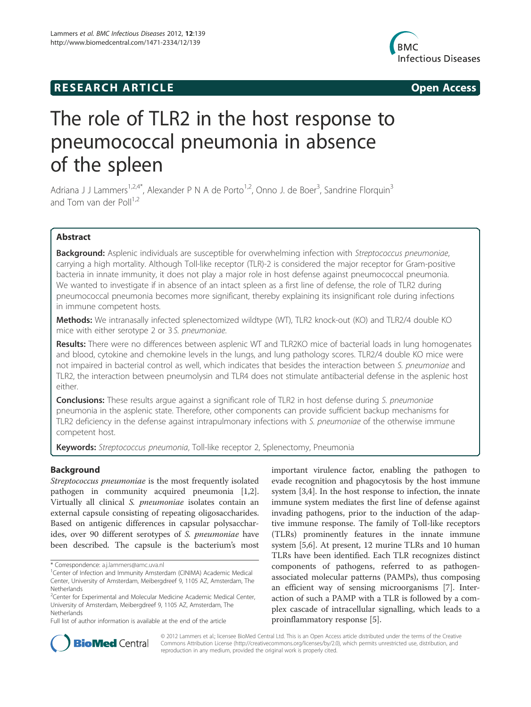## **RESEARCH ARTICLE Example 2014 12:30 The SEAR CHA RTICLE**



# The role of TLR2 in the host response to pneumococcal pneumonia in absence of the spleen

Adriana J J Lammers<sup>1,2,4\*</sup>, Alexander P N A de Porto<sup>1,2</sup>, Onno J. de Boer<sup>3</sup>, Sandrine Florquin<sup>3</sup> and Tom van der Poll $^{1,2}$ 

## Abstract

Background: Asplenic individuals are susceptible for overwhelming infection with Streptococcus pneumoniae, carrying a high mortality. Although Toll-like receptor (TLR)-2 is considered the major receptor for Gram-positive bacteria in innate immunity, it does not play a major role in host defense against pneumococcal pneumonia. We wanted to investigate if in absence of an intact spleen as a first line of defense, the role of TLR2 during pneumococcal pneumonia becomes more significant, thereby explaining its insignificant role during infections in immune competent hosts.

Methods: We intranasally infected splenectomized wildtype (WT), TLR2 knock-out (KO) and TLR2/4 double KO mice with either serotype 2 or 3 S. pneumoniae.

Results: There were no differences between asplenic WT and TLR2KO mice of bacterial loads in lung homogenates and blood, cytokine and chemokine levels in the lungs, and lung pathology scores. TLR2/4 double KO mice were not impaired in bacterial control as well, which indicates that besides the interaction between S. pneumoniae and TLR2, the interaction between pneumolysin and TLR4 does not stimulate antibacterial defense in the asplenic host either.

**Conclusions:** These results argue against a significant role of TLR2 in host defense during S. pneumoniae pneumonia in the asplenic state. Therefore, other components can provide sufficient backup mechanisms for TLR2 deficiency in the defense against intrapulmonary infections with S. pneumoniae of the otherwise immune competent host.

Keywords: Streptococcus pneumonia, Toll-like receptor 2, Splenectomy, Pneumonia

## Background

Streptococcus pneumoniae is the most frequently isolated pathogen in community acquired pneumonia [1,2]. Virtually all clinical S. pneumoniae isolates contain an external capsule consisting of repeating oligosaccharides. Based on antigenic differences in capsular polysaccharides, over 90 different serotypes of S. pneumoniae have been described. The capsule is the bacterium's most

important virulence factor, enabling the pathogen to evade recognition and phagocytosis by the host immune system [3,4]. In the host response to infection, the innate immune system mediates the first line of defense against invading pathogens, prior to the induction of the adaptive immune response. The family of Toll-like receptors (TLRs) prominently features in the innate immune system [5,6]. At present, 12 murine TLRs and 10 human TLRs have been identified. Each TLR recognizes distinct components of pathogens, referred to as pathogenassociated molecular patterns (PAMPs), thus composing an efficient way of sensing microorganisms [7]. Interaction of such a PAMP with a TLR is followed by a complex cascade of intracellular signalling, which leads to a proinflammatory response [5].



© 2012 Lammers et al.; licensee BioMed Central Ltd. This is an Open Access article distributed under the terms of the Creative Commons Attribution License (http://creativecommons.org/licenses/by/2.0), which permits unrestricted use, distribution, and reproduction in any medium, provided the original work is properly cited.

<sup>\*</sup> Correspondence: a.j.lammers@amc.uva.nl <sup>1</sup>

<sup>&</sup>lt;sup>1</sup> Center of Infection and Immunity Amsterdam (CINIMA) Academic Medical Center, University of Amsterdam, Meibergdreef 9, 1105 AZ, Amsterdam, The Netherlands

<sup>&</sup>lt;sup>2</sup> Center for Experimental and Molecular Medicine Academic Medical Center, University of Amsterdam, Meibergdreef 9, 1105 AZ, Amsterdam, The Netherlands

Full list of author information is available at the end of the article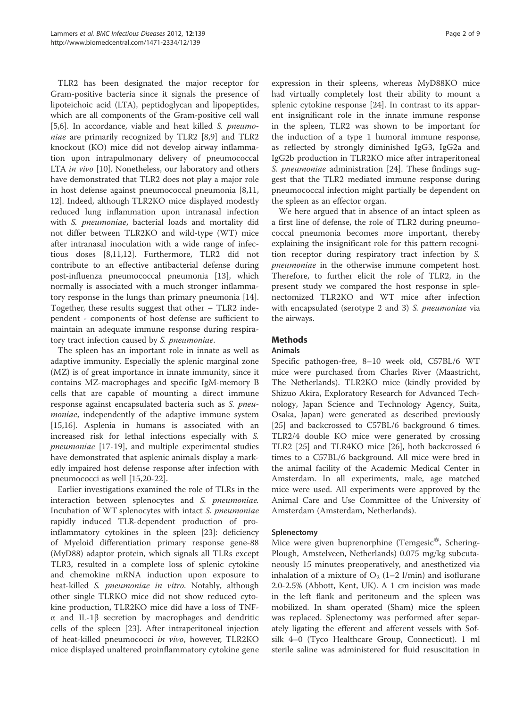TLR2 has been designated the major receptor for Gram-positive bacteria since it signals the presence of lipoteichoic acid (LTA), peptidoglycan and lipopeptides, which are all components of the Gram-positive cell wall [5,6]. In accordance, viable and heat killed S. pneumoniae are primarily recognized by TLR2 [8,9] and TLR2 knockout (KO) mice did not develop airway inflammation upon intrapulmonary delivery of pneumococcal LTA *in vivo* [10]. Nonetheless, our laboratory and others have demonstrated that TLR2 does not play a major role in host defense against pneumococcal pneumonia [8,11, 12]. Indeed, although TLR2KO mice displayed modestly reduced lung inflammation upon intranasal infection with S. pneumoniae, bacterial loads and mortality did not differ between TLR2KO and wild-type (WT) mice after intranasal inoculation with a wide range of infectious doses [8,11,12]. Furthermore, TLR2 did not contribute to an effective antibacterial defense during post-influenza pneumococcal pneumonia [13], which normally is associated with a much stronger inflammatory response in the lungs than primary pneumonia [14]. Together, these results suggest that other – TLR2 independent - components of host defense are sufficient to maintain an adequate immune response during respiratory tract infection caused by S. pneumoniae.

The spleen has an important role in innate as well as adaptive immunity. Especially the splenic marginal zone (MZ) is of great importance in innate immunity, since it contains MZ-macrophages and specific IgM-memory B cells that are capable of mounting a direct immune response against encapsulated bacteria such as S. pneumoniae, independently of the adaptive immune system [15,16]. Asplenia in humans is associated with an increased risk for lethal infections especially with S. pneumoniae [17-19], and multiple experimental studies have demonstrated that asplenic animals display a markedly impaired host defense response after infection with pneumococci as well [15,20-22].

Earlier investigations examined the role of TLRs in the interaction between splenocytes and S. pneumoniae. Incubation of WT splenocytes with intact S. pneumoniae rapidly induced TLR-dependent production of proinflammatory cytokines in the spleen [23]: deficiency of Myeloid differentiation primary response gene-88 (MyD88) adaptor protein, which signals all TLRs except TLR3, resulted in a complete loss of splenic cytokine and chemokine mRNA induction upon exposure to heat-killed S. *pneumoniae in vitro*. Notably, although other single TLRKO mice did not show reduced cytokine production, TLR2KO mice did have a loss of TNFα and IL-1β secretion by macrophages and dendritic cells of the spleen [23]. After intraperitoneal injection of heat-killed pneumococci in vivo, however, TLR2KO mice displayed unaltered proinflammatory cytokine gene

expression in their spleens, whereas MyD88KO mice had virtually completely lost their ability to mount a splenic cytokine response [24]. In contrast to its apparent insignificant role in the innate immune response in the spleen, TLR2 was shown to be important for the induction of a type 1 humoral immune response, as reflected by strongly diminished IgG3, IgG2a and IgG2b production in TLR2KO mice after intraperitoneal S. pneumoniae administration [24]. These findings suggest that the TLR2 mediated immune response during pneumococcal infection might partially be dependent on the spleen as an effector organ.

We here argued that in absence of an intact spleen as a first line of defense, the role of TLR2 during pneumococcal pneumonia becomes more important, thereby explaining the insignificant role for this pattern recognition receptor during respiratory tract infection by S. pneumoniae in the otherwise immune competent host. Therefore, to further elicit the role of TLR2, in the present study we compared the host response in splenectomized TLR2KO and WT mice after infection with encapsulated (serotype 2 and 3) S. *pneumoniae* via the airways.

## **Methods**

## Animals

Specific pathogen-free, 8–10 week old, C57BL/6 WT mice were purchased from Charles River (Maastricht, The Netherlands). TLR2KO mice (kindly provided by Shizuo Akira, Exploratory Research for Advanced Technology, Japan Science and Technology Agency, Suita, Osaka, Japan) were generated as described previously [25] and backcrossed to C57BL/6 background 6 times. TLR2/4 double KO mice were generated by crossing TLR2 [25] and TLR4KO mice [26], both backcrossed 6 times to a C57BL/6 background. All mice were bred in the animal facility of the Academic Medical Center in Amsterdam. In all experiments, male, age matched mice were used. All experiments were approved by the Animal Care and Use Committee of the University of Amsterdam (Amsterdam, Netherlands).

### Splenectomy

Mice were given buprenorphine (Temgesic<sup>®</sup>, Schering-Plough, Amstelveen, Netherlands) 0.075 mg/kg subcutaneously 15 minutes preoperatively, and anesthetized via inhalation of a mixture of  $O_2$  (1–2 l/min) and isoflurane 2.0-2.5% (Abbott, Kent, UK). A 1 cm incision was made in the left flank and peritoneum and the spleen was mobilized. In sham operated (Sham) mice the spleen was replaced. Splenectomy was performed after separately ligating the efferent and afferent vessels with Sofsilk 4–0 (Tyco Healthcare Group, Connecticut). 1 ml sterile saline was administered for fluid resuscitation in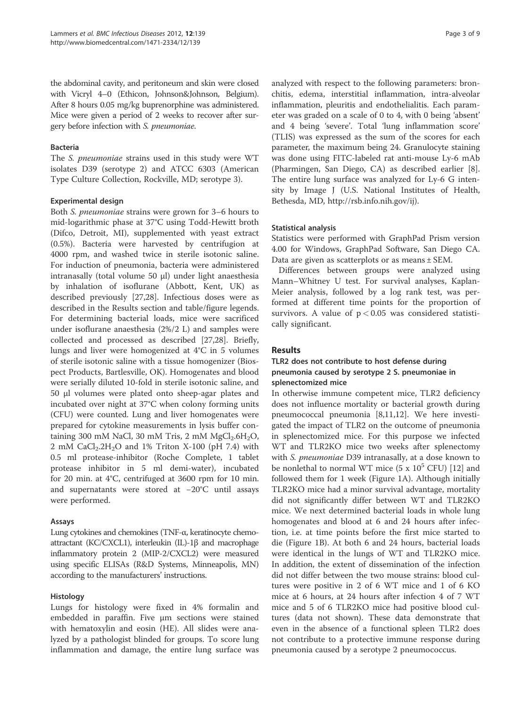the abdominal cavity, and peritoneum and skin were closed with Vicryl 4–0 (Ethicon, Johnson&Johnson, Belgium). After 8 hours 0.05 mg/kg buprenorphine was administered. Mice were given a period of 2 weeks to recover after surgery before infection with S. pneumoniae.

#### Bacteria

The S. pneumoniae strains used in this study were WT isolates D39 (serotype 2) and ATCC 6303 (American Type Culture Collection, Rockville, MD; serotype 3).

#### Experimental design

Both S. pneumoniae strains were grown for 3–6 hours to mid-logarithmic phase at 37°C using Todd-Hewitt broth (Difco, Detroit, MI), supplemented with yeast extract (0.5%). Bacteria were harvested by centrifugion at 4000 rpm, and washed twice in sterile isotonic saline. For induction of pneumonia, bacteria were administered intranasally (total volume 50 μl) under light anaesthesia by inhalation of isoflurane (Abbott, Kent, UK) as described previously [27,28]. Infectious doses were as described in the Results section and table/figure legends. For determining bacterial loads, mice were sacrificed under isoflurane anaesthesia (2%/2 L) and samples were collected and processed as described [27,28]. Briefly, lungs and liver were homogenized at 4°C in 5 volumes of sterile isotonic saline with a tissue homogenizer (Biospect Products, Bartlesville, OK). Homogenates and blood were serially diluted 10-fold in sterile isotonic saline, and 50 μl volumes were plated onto sheep-agar plates and incubated over night at 37°C when colony forming units (CFU) were counted. Lung and liver homogenates were prepared for cytokine measurements in lysis buffer containing 300 mM NaCl, 30 mM Tris, 2 mM  $MgCl<sub>2</sub>.6H<sub>2</sub>O$ , 2 mM CaCl<sub>2</sub>.2H<sub>2</sub>O and 1% Triton X-100 (pH 7.4) with 0.5 ml protease-inhibitor (Roche Complete, 1 tablet protease inhibitor in 5 ml demi-water), incubated for 20 min. at 4°C, centrifuged at 3600 rpm for 10 min. and supernatants were stored at −20°C until assays were performed.

#### Assays

Lung cytokines and chemokines (TNF-α, keratinocyte chemoattractant (KC/CXCL1), interleukin (IL)-1β and macrophage inflammatory protein 2 (MIP-2/CXCL2) were measured using specific ELISAs (R&D Systems, Minneapolis, MN) according to the manufacturers' instructions.

#### Histology

Lungs for histology were fixed in 4% formalin and embedded in paraffin. Five μm sections were stained with hematoxylin and eosin (HE). All slides were analyzed by a pathologist blinded for groups. To score lung inflammation and damage, the entire lung surface was

analyzed with respect to the following parameters: bronchitis, edema, interstitial inflammation, intra-alveolar inflammation, pleuritis and endothelialitis. Each parameter was graded on a scale of 0 to 4, with 0 being 'absent' and 4 being 'severe'. Total 'lung inflammation score' (TLIS) was expressed as the sum of the scores for each parameter, the maximum being 24. Granulocyte staining was done using FITC-labeled rat anti-mouse Ly-6 mAb (Pharmingen, San Diego, CA) as described earlier [8]. The entire lung surface was analyzed for Ly-6 G intensity by Image J (U.S. National Institutes of Health, Bethesda, MD, http://rsb.info.nih.gov/ij).

#### Statistical analysis

Statistics were performed with GraphPad Prism version 4.00 for Windows, GraphPad Software, San Diego CA. Data are given as scatterplots or as means ± SEM.

Differences between groups were analyzed using Mann–Whitney U test. For survival analyses, Kaplan-Meier analysis, followed by a log rank test, was performed at different time points for the proportion of survivors. A value of  $p < 0.05$  was considered statistically significant.

#### Results

## TLR2 does not contribute to host defense during pneumonia caused by serotype 2 S. pneumoniae in splenectomized mice

In otherwise immune competent mice, TLR2 deficiency does not influence mortality or bacterial growth during pneumococcal pneumonia [8,11,12]. We here investigated the impact of TLR2 on the outcome of pneumonia in splenectomized mice. For this purpose we infected WT and TLR2KO mice two weeks after splenectomy with S. pneumoniae D39 intranasally, at a dose known to be nonlethal to normal WT mice  $(5 \times 10^5 \text{ CFU})$  [12] and followed them for 1 week (Figure 1A). Although initially TLR2KO mice had a minor survival advantage, mortality did not significantly differ between WT and TLR2KO mice. We next determined bacterial loads in whole lung homogenates and blood at 6 and 24 hours after infection, i.e. at time points before the first mice started to die (Figure 1B). At both 6 and 24 hours, bacterial loads were identical in the lungs of WT and TLR2KO mice. In addition, the extent of dissemination of the infection did not differ between the two mouse strains: blood cultures were positive in 2 of 6 WT mice and 1 of 6 KO mice at 6 hours, at 24 hours after infection 4 of 7 WT mice and 5 of 6 TLR2KO mice had positive blood cultures (data not shown). These data demonstrate that even in the absence of a functional spleen TLR2 does not contribute to a protective immune response during pneumonia caused by a serotype 2 pneumococcus.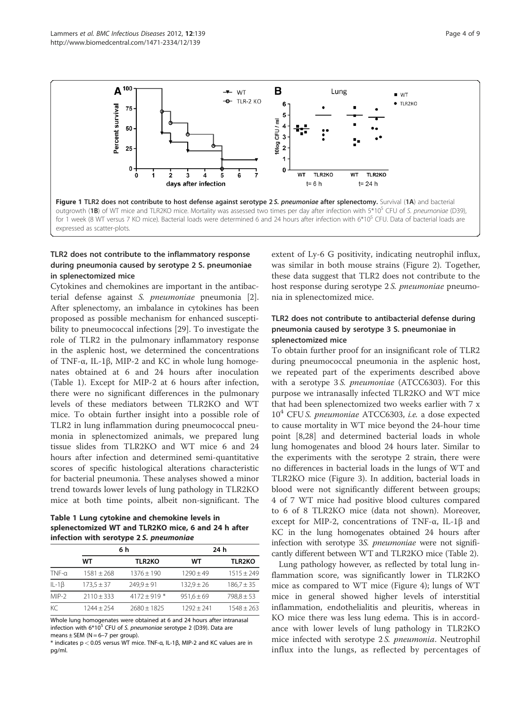

## TLR2 does not contribute to the inflammatory response during pneumonia caused by serotype 2 S. pneumoniae in splenectomized mice

Cytokines and chemokines are important in the antibacterial defense against S. pneumoniae pneumonia [2]. After splenectomy, an imbalance in cytokines has been proposed as possible mechanism for enhanced susceptibility to pneumococcal infections [29]. To investigate the role of TLR2 in the pulmonary inflammatory response in the asplenic host, we determined the concentrations of TNF-α, IL-1β, MIP-2 and KC in whole lung homogenates obtained at 6 and 24 hours after inoculation (Table 1). Except for MIP-2 at 6 hours after infection, there were no significant differences in the pulmonary levels of these mediators between TLR2KO and WT mice. To obtain further insight into a possible role of TLR2 in lung inflammation during pneumococcal pneumonia in splenectomized animals, we prepared lung tissue slides from TLR2KO and WT mice 6 and 24 hours after infection and determined semi-quantitative scores of specific histological alterations characteristic for bacterial pneumonia. These analyses showed a minor trend towards lower levels of lung pathology in TLR2KO mice at both time points, albeit non-significant. The

Table 1 Lung cytokine and chemokine levels in splenectomized WT and TLR2KO mice, 6 and 24 h after infection with serotype 2 S. pneumoniae

|             | 6 h            |                | 24 h           |                |
|-------------|----------------|----------------|----------------|----------------|
|             | WТ             | <b>TLR2KO</b>  | WТ             | <b>TLR2KO</b>  |
| $TNF-a$     | $1581 + 268$   | $1376 \pm 190$ | $1290 + 49$    | $1515 \pm 249$ |
| $IL-1\beta$ | $173.5 \pm 37$ | $249.9 \pm 91$ | $132.9 \pm 26$ | $186.7 \pm 35$ |
| MIP-2       | $2110 + 333$   | 4172 ± 919 $*$ | $951,6 \pm 69$ | $798.8 \pm 53$ |
| KC          | 1244 + 254     | $7680 + 1825$  | $1292 + 241$   | $1548 \pm 263$ |

Whole lung homogenates were obtained at 6 and 24 hours after intranasal infection with  $6*10^5$  CFU of S. pneumoniae serotype 2 (D39). Data are means  $\pm$  SEM (N = 6-7 per group).

\* indicates p < 0.05 versus WT mice. TNF-α, IL-1β, MIP-2 and KC values are in pg/ml.

extent of Ly-6 G positivity, indicating neutrophil influx, was similar in both mouse strains (Figure 2). Together, these data suggest that TLR2 does not contribute to the host response during serotype 2S. pneumoniae pneumonia in splenectomized mice.

### TLR2 does not contribute to antibacterial defense during pneumonia caused by serotype 3 S. pneumoniae in splenectomized mice

To obtain further proof for an insignificant role of TLR2 during pneumococcal pneumonia in the asplenic host, we repeated part of the experiments described above with a serotype 3S. pneumoniae (ATCC6303). For this purpose we intranasally infected TLR2KO and WT mice that had been splenectomized two weeks earlier with 7 x  $10<sup>4</sup>$  CFU S. pneumoniae ATCC6303, i.e. a dose expected to cause mortality in WT mice beyond the 24-hour time point [8,28] and determined bacterial loads in whole lung homogenates and blood 24 hours later. Similar to the experiments with the serotype 2 strain, there were no differences in bacterial loads in the lungs of WT and TLR2KO mice (Figure 3). In addition, bacterial loads in blood were not significantly different between groups; 4 of 7 WT mice had positive blood cultures compared to 6 of 8 TLR2KO mice (data not shown). Moreover, except for MIP-2, concentrations of TNF-α, IL-1β and KC in the lung homogenates obtained 24 hours after infection with serotype 3*S. pneumoniae* were not significantly different between WT and TLR2KO mice (Table 2).

Lung pathology however, as reflected by total lung inflammation score, was significantly lower in TLR2KO mice as compared to WT mice (Figure 4); lungs of WT mice in general showed higher levels of interstitial inflammation, endothelialitis and pleuritis, whereas in KO mice there was less lung edema. This is in accordance with lower levels of lung pathology in TLR2KO mice infected with serotype 2 S. pneumonia. Neutrophil influx into the lungs, as reflected by percentages of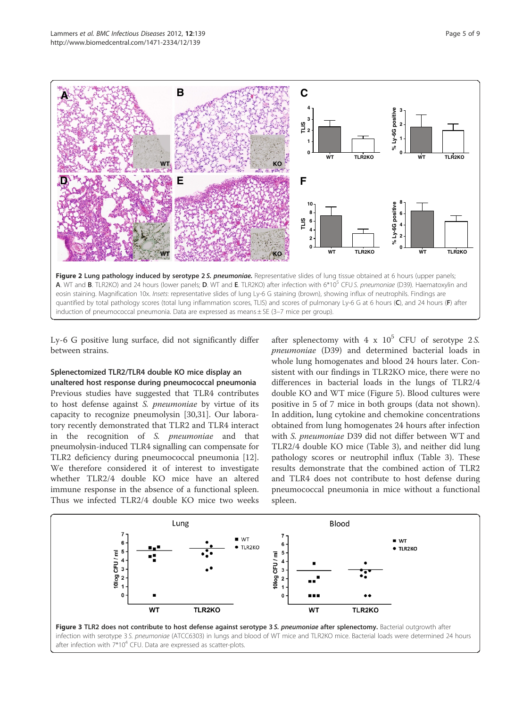

Ly-6 G positive lung surface, did not significantly differ between strains.

#### Splenectomized TLR2/TLR4 double KO mice display an

unaltered host response during pneumococcal pneumonia Previous studies have suggested that TLR4 contributes to host defense against S. pneumoniae by virtue of its capacity to recognize pneumolysin [30,31]. Our laboratory recently demonstrated that TLR2 and TLR4 interact in the recognition of S. pneumoniae and that pneumolysin-induced TLR4 signalling can compensate for TLR2 deficiency during pneumococcal pneumonia [12]. We therefore considered it of interest to investigate whether TLR2/4 double KO mice have an altered immune response in the absence of a functional spleen. Thus we infected TLR2/4 double KO mice two weeks

after splenectomy with  $4 \times 10^5$  CFU of serotype 2S. pneumoniae (D39) and determined bacterial loads in whole lung homogenates and blood 24 hours later. Consistent with our findings in TLR2KO mice, there were no differences in bacterial loads in the lungs of TLR2/4 double KO and WT mice (Figure 5). Blood cultures were positive in 5 of 7 mice in both groups (data not shown). In addition, lung cytokine and chemokine concentrations obtained from lung homogenates 24 hours after infection with S. pneumoniae D39 did not differ between WT and TLR2/4 double KO mice (Table 3), and neither did lung pathology scores or neutrophil influx (Table 3). These results demonstrate that the combined action of TLR2 and TLR4 does not contribute to host defense during pneumococcal pneumonia in mice without a functional spleen.

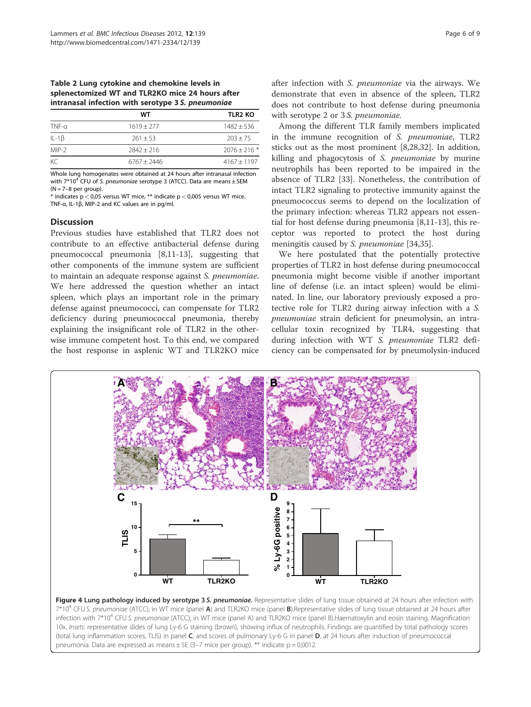#### Table 2 Lung cytokine and chemokine levels in splenectomized WT and TLR2KO mice 24 hours after intranasal infection with serotype 3 S. pneumoniae

|              | WТ            | <b>TLR2 KO</b> |
|--------------|---------------|----------------|
| $TNF-a$      | $1619 + 277$  | $1482 + 536$   |
| IL-1 $\beta$ | $261 + 53$    | $203 + 75$     |
| MIP-2        | $7847 + 716$  | $2076 + 216*$  |
| КC           | $6767 + 2446$ | $4167 + 1197$  |

Whole lung homogenates were obtained at 24 hours after intranasal infection with  $7*10^4$  CFU of S. pneumoniae serotype 3 (ATCC). Data are means  $\pm$  SEM  $(N = 7-8$  per group).

\* indicates p < 0,05 versus WT mice, \*\* indicate p < 0,005 versus WT mice. TNF-α, IL-1β, MIP-2 and KC values are in pg/ml.

#### **Discussion**

Previous studies have established that TLR2 does not contribute to an effective antibacterial defense during pneumococcal pneumonia [8,11-13], suggesting that other components of the immune system are sufficient to maintain an adequate response against S. pneumoniae. We here addressed the question whether an intact spleen, which plays an important role in the primary defense against pneumococci, can compensate for TLR2 deficiency during pneumococcal pneumonia, thereby explaining the insignificant role of TLR2 in the otherwise immune competent host. To this end, we compared the host response in asplenic WT and TLR2KO mice

after infection with S. pneumoniae via the airways. We demonstrate that even in absence of the spleen, TLR2 does not contribute to host defense during pneumonia with serotype 2 or 3 S. pneumoniae.

Among the different TLR family members implicated in the immune recognition of S. pneumoniae, TLR2 sticks out as the most prominent [8,28,32]. In addition, killing and phagocytosis of S. pneumoniae by murine neutrophils has been reported to be impaired in the absence of TLR2 [33]. Nonetheless, the contribution of intact TLR2 signaling to protective immunity against the pneumococcus seems to depend on the localization of the primary infection: whereas TLR2 appears not essential for host defense during pneumonia [8,11-13], this receptor was reported to protect the host during meningitis caused by S. *pneumoniae* [34,35].

We here postulated that the potentially protective properties of TLR2 in host defense during pneumococcal pneumonia might become visible if another important line of defense (i.e. an intact spleen) would be eliminated. In line, our laboratory previously exposed a protective role for TLR2 during airway infection with a S. pneumoniae strain deficient for pneumolysin, an intracellular toxin recognized by TLR4, suggesting that during infection with WT S. pneumoniae TLR2 deficiency can be compensated for by pneumolysin-induced



Figure 4 Lung pathology induced by serotype 3 S. pneumoniae. Representative slides of lung tissue obtained at 24 hours after infection with 7\*10<sup>4</sup> CFU S. pneumoniae (ATCC), in WT mice (panel A) and TLR2KO mice (panel B).Representative slides of lung tissue obtained at 24 hours after infection with 7\*10<sup>4</sup> CFU S. pneumoniae (ATCC), in WT mice (panel A) and TLR2KO mice (panel B).Haematoxylin and eosin staining. Magnification 10x. Insets: representative slides of lung Ly-6 G staining (brown), showing influx of neutrophils. Findings are quantified by total pathology scores (total lung inflammation scores, TLIS) in panel C, and scores of pulmonary Ly-6 G in panel D, at 24 hours after induction of pneumococcal pneumonia. Data are expressed as means  $\pm$  SE (3-7 mice per group). \*\* indicate p = 0,0012.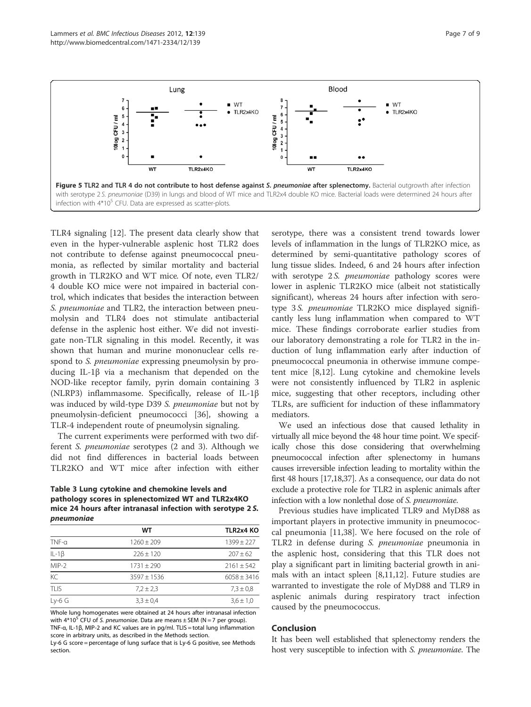

TLR4 signaling [12]. The present data clearly show that even in the hyper-vulnerable asplenic host TLR2 does not contribute to defense against pneumococcal pneumonia, as reflected by similar mortality and bacterial growth in TLR2KO and WT mice. Of note, even TLR2/ 4 double KO mice were not impaired in bacterial control, which indicates that besides the interaction between S. pneumoniae and TLR2, the interaction between pneumolysin and TLR4 does not stimulate antibacterial defense in the asplenic host either. We did not investigate non-TLR signaling in this model. Recently, it was shown that human and murine mononuclear cells respond to S. pneumoniae expressing pneumolysin by producing IL-1β via a mechanism that depended on the NOD-like receptor family, pyrin domain containing 3 (NLRP3) inflammasome. Specifically, release of IL-1β was induced by wild-type D39 S. pneumoniae but not by pneumolysin-deficient pneumococci [36], showing a TLR-4 independent route of pneumolysin signaling.

The current experiments were performed with two different S. pneumoniae serotypes (2 and 3). Although we did not find differences in bacterial loads between TLR2KO and WT mice after infection with either

Table 3 Lung cytokine and chemokine levels and pathology scores in splenectomized WT and TLR2x4KO mice 24 hours after intranasal infection with serotype 2 S. pneumoniae

|             | WТ            | <b>TLR2x4 KO</b> |
|-------------|---------------|------------------|
| $TNF-a$     | $1260 + 209$  | $1399 \pm 227$   |
| $IL-1\beta$ | $226 + 120$   | $207 + 62$       |
| $MIP-2$     | $1731 + 290$  | $2161 + 542$     |
| KC          | $3597 + 1536$ | $6058 \pm 3416$  |
| TLIS        | $7.2 \pm 2.3$ | $7.3 \pm 0.8$    |
| $Ly-6$ G    | $3.3 \pm 0.4$ | $3.6 \pm 1.0$    |

Whole lung homogenates were obtained at 24 hours after intranasal infection with  $4*10^5$  CFU of S. pneumoniae. Data are means  $\pm$  SEM (N = 7 per group). TNF-α, IL-1β, MIP-2 and KC values are in pg/ml. TLIS = total lung inflammation

score in arbitrary units, as described in the Methods section. Ly-6 G score = percentage of lung surface that is Ly-6 G positive, see Methods section.

serotype, there was a consistent trend towards lower levels of inflammation in the lungs of TLR2KO mice, as determined by semi-quantitative pathology scores of lung tissue slides. Indeed, 6 and 24 hours after infection with serotype 2S. *pneumoniae* pathology scores were lower in asplenic TLR2KO mice (albeit not statistically significant), whereas 24 hours after infection with serotype 3 S. pneumoniae TLR2KO mice displayed significantly less lung inflammation when compared to WT mice. These findings corroborate earlier studies from our laboratory demonstrating a role for TLR2 in the induction of lung inflammation early after induction of pneumococcal pneumonia in otherwise immune competent mice [8,12]. Lung cytokine and chemokine levels were not consistently influenced by TLR2 in asplenic mice, suggesting that other receptors, including other TLRs, are sufficient for induction of these inflammatory mediators.

We used an infectious dose that caused lethality in virtually all mice beyond the 48 hour time point. We specifically chose this dose considering that overwhelming pneumococcal infection after splenectomy in humans causes irreversible infection leading to mortality within the first 48 hours [17,18,37]. As a consequence, our data do not exclude a protective role for TLR2 in asplenic animals after infection with a low nonlethal dose of S. pneumoniae.

Previous studies have implicated TLR9 and MyD88 as important players in protective immunity in pneumococcal pneumonia [11,38]. We here focused on the role of TLR2 in defense during S. pneumoniae pneumonia in the asplenic host, considering that this TLR does not play a significant part in limiting bacterial growth in animals with an intact spleen [8,11,12]. Future studies are warranted to investigate the role of MyD88 and TLR9 in asplenic animals during respiratory tract infection caused by the pneumococcus.

#### Conclusion

It has been well established that splenectomy renders the host very susceptible to infection with S. pneumoniae. The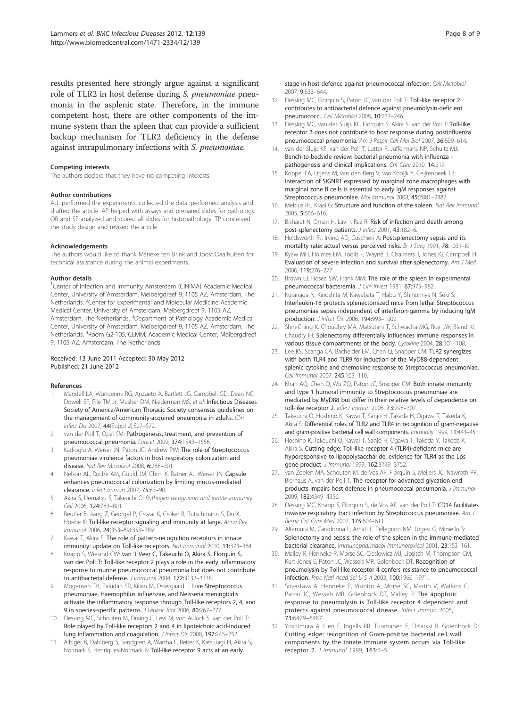results presented here strongly argue against a significant role of TLR2 in host defense during S. pneumoniae pneumonia in the asplenic state. Therefore, in the immune competent host, there are other components of the immune system than the spleen that can provide a sufficient backup mechanism for TLR2 deficiency in the defense against intrapulmonary infections with S. pneumoniae.

#### Competing interests

The authors declare that they have no competing interests.

#### Author contributions

AJL performed the experiments, collected the data, performed analysis and drafted the article. AP helped with assays and prepared slides for pathology. OB and SF analyzed and scored all slides for histopathology. TP conceived the study design and revised the article.

#### Acknowledgements

The authors would like to thank Marieke ten Brink and Joost Daalhuisen for technical assistance during the animal experiments.

#### Author details

<sup>1</sup>Center of Infection and Immunity Amsterdam (CINIMA) Academic Medical Center, University of Amsterdam, Meibergdreef 9, 1105 AZ, Amsterdam, The Netherlands. <sup>2</sup> Center for Experimental and Molecular Medicine Academic Medical Center, University of Amsterdam, Meibergdreef 9, 1105 AZ, Amsterdam, The Netherlands. <sup>3</sup>Department of Pathology Academic Medical Center, University of Amsterdam, Meibergdreef 9, 1105 AZ, Amsterdam, The Netherlands. <sup>4</sup>Room G2-105, CEMM, Academic Medical Center, Meibergdreef 9, 1105 AZ, Amsterdam, The Netherlands.

#### Received: 13 June 2011 Accepted: 30 May 2012 Published: 21 June 2012

#### References

- 1. Mandell LA, Wunderink RG, Anzueto A, Bartlett JG, Campbell GD, Dean NC, Dowell SF, File TM Jr, Musher DM, Niederman MS, et al: Infectious Diseases Society of America/American Thoracic Society consensus guidelines on the management of community-acquired pneumonia in adults. Clin Infect Dis 2007, 44(Suppl 2):S27–S72.
- 2. van der Poll T, Opal SM: Pathogenesis, treatment, and prevention of pneumococcal pneumonia. Lancet 2009, 374:1543–1556.
- 3. Kadioglu A, Weiser JN, Paton JC, Andrew PW: The role of Streptococcus pneumoniae virulence factors in host respiratory colonization and disease. Nat Rev Microbiol 2008, 6:288–301.
- 4. Nelson AL, Roche AM, Gould JM, Chim K, Ratner AJ, Weiser JN: Capsule enhances pneumococcal colonization by limiting mucus-mediated clearance. Infect Immun 2007, 75:83–90.
- 5. Akira S, Uematsu S, Takeuchi O: Pathogen recognition and innate immunity. Cell 2006, 124:783–801.
- 6. Beutler B, Jiang Z, Georgel P, Crozat K, Croker B, Rutschmann S, Du X, Hoebe K: Toll-like receptor signaling and immunity at large. Annu Rev Immunol 2006, 24(353–89):353–389.
- 7. Kawai T, Akira S: The role of pattern-recognition receptors in innate immunity: update on Toll-like receptors. Nat Immunol 2010, 11:373–384.
- 8. Knapp S, Wieland CW: van 't Veer C, Takeuchi O, Akira S, Florquin S, van der Poll T: Toll-like receptor 2 plays a role in the early inflammatory response to murine pneumococcal pneumonia but does not contribute to antibacterial defense. J Immunol 2004, 172:3132–3138.
- 9. Mogensen TH, Paludan SR, Kilian M, Ostergaard L: Live Streptococcus pneumoniae, Haemophilus influenzae, and Neisseria meningitidis activate the inflammatory response through Toll-like receptors 2, 4, and 9 in species-specific patterns. J Leukoc Biol 2006, 80:267-277.
- 10. Dessing MC, Schouten M, Draing C, Levi M, von Aulock S, van der Poll T: Role played by Toll-like receptors 2 and 4 in lipoteichoic acid-induced lung inflammation and coagulation. J Infect Dis 2008, 197:245–252.
- 11. Albiger B, Dahlberg S, Sandgren A, Wartha F, Beiter K, Katsuragi H, Akira S, Normark S, Henriques-Normark B: Toll-like receptor 9 acts at an early

stage in host defence against pneumococcal infection. Cell Microbiol 2007, 9:633–644.

- 12. Dessing MC, Florquin S, Paton JC, van der Poll T: Toll-like receptor 2 contributes to antibacterial defence against pneumolysin-deficient pneumococci. Cell Microbiol 2008, 10:237–246.
- 13. Dessing MC, van der Sluijs KF, Florquin S, Akira S, van der Poll T: Toll-like receptor 2 does not contribute to host response during postinfluenza pneumococcal pneumonia. Am J Respir Cell Mol Biol 2007, 36:609–614.
- 14. van der Sluijs KF, van der Poll T, Lutter R, Juffermans NP, Schultz MJ: Bench-to-bedside review: bacterial pneumonia with influenza pathogenesis and clinical implications. Crit Care 2010, 14:219.
- 15. Koppel EA, Litjens M, van den Berg V, van Kooijk Y, Geijtenbeek TB: Interaction of SIGNR1 expressed by marginal zone macrophages with marginal zone B cells is essential to early IgM responses against Streptococcus pneumoniae. Mol Immunol 2008, 45:2881–2887.
- 16. Mebius RE, Kraal G: Structure and function of the spleen. Nat Rev Immunol 2005, 5:606–616.
- 17. Bisharat N, Omari H, Lavi I, Raz R: Risk of infection and death among post-splenectomy patients. J Infect 2001, 43:182-6.
- 18. Holdsworth RJ, Irving AD, Cuschieri A: Postsplenectomy sepsis and its mortality rate: actual versus perceived risks. Br J Surg 1991, 78:1031-8.
- 19. Kyaw MH, Holmes EM, Toolis F, Wayne B, Chalmers J, Jones IG, Campbell H: Evaluation of severe infection and survival after splenectomy. Am J Med 2006, 119:276–277.
- 20. Brown EJ, Hosea SW, Frank MM: The role of the spleen in experimental pneumococcal bacteremia. J Clin Invest 1981, 67:975-982.
- 21. Kuranaga N, Kinoshita M, Kawabata T, Habu Y, Shinomiya N, Seki S: Interleukin-18 protects splenectomized mice from lethal Streptococcus pneumoniae sepsis independent of interferon-gamma by inducing IgM production. J Infect Dis 2006, 194:993–1002.
- 22. Shih-Ching K, Choudhry MA, Matsutani T, Schwacha MG, Rue LW, Bland KI, Chaudry IH: Splenectomy differentially influences immune responses in various tissue compartments of the body. Cytokine 2004, 28:101-108.
- 23. Lee KS, Scanga CA, Bachelder EM, Chen Q, Snapper CM: TLR2 synergizes with both TLR4 and TLR9 for induction of the MyD88-dependent splenic cytokine and chemokine response to Streptococcus pneumoniae. Cell Immunol 2007, 245:103–110.
- 24. Khan AQ, Chen Q, Wu ZQ, Paton JC, Snapper CM: Both innate immunity and type 1 humoral immunity to Streptococcus pneumoniae are mediated by MyD88 but differ in their relative levels of dependence on toll-like receptor 2. Infect Immun 2005, 73:298–307.
- 25. Takeuchi O, Hoshino K, Kawai T, Sanjo H, Takada H, Ogawa T, Takeda K, Akira S: Differential roles of TLR2 and TLR4 in recognition of gram-negative and gram-positive bacterial cell wall components. Immunity 1999, 11:443–451.
- 26. Hoshino K, Takeuchi O, Kawai T, Sanjo H, Ogawa T, Takeda Y, Takeda K, Akira S: Cutting edge: Toll-like receptor 4 (TLR4)-deficient mice are hyporesponsive to lipopolysaccharide: evidence for TLR4 as the Lps gene product. J Immunol 1999, 162:3749–3752.
- 27. van Zoelen MA, Schouten M, de Vos AF, Florquin S, Meijers JC, Nawroth PP, Bierhaus A, van der Poll T: The receptor for advanced glycation end products impairs host defense in pneumococcal pneumonia. J Immunol 2009, 182:4349–4356.
- 28. Dessing MC, Knapp S, Florquin S, de Vos AF, van der Poll T: CD14 facilitates invasive respiratory tract infection by Streptococcus pneumoniae. Am J Respir Crit Care Med 2007, 175:604–611.
- 29. Altamura M, Caradonna L, Amati L, Pellegrino NM, Urgesi G, Miniello S: Splenectomy and sepsis: the role of the spleen in the immune-mediated bacterial clearance. Immunopharmacol Immunotoxicol 2001, 23:153–161.
- 30. Malley R, Henneke P, Morse SC, Cieslewicz MJ, Lipsitch M, Thompson CM, Kurt-Jones E, Paton JC, Wessels MR, Golenbock DT: Recognition of pneumolysin by Toll-like receptor 4 confers resistance to pneumococcal infection. Proc Natl Acad Sci U S A 2003, 100:1966–1971.
- 31. Srivastava A, Henneke P, Visintin A, Morse SC, Martin V, Watkins C, Paton JC, Wessels MR, Golenbock DT, Malley R: The apoptotic response to pneumolysin is Toll-like receptor 4 dependent and protects against pneumococcal disease. Infect Immun 2005, 73:6479–6487.
- 32. Yoshimura A, Lien E, Ingalls RR, Tuomanen E, Dziarski R, Golenbock D: Cutting edge: recognition of Gram-positive bacterial cell wall components by the innate immune system occurs via Toll-like receptor 2. J Immunol 1999, 163:1–5.